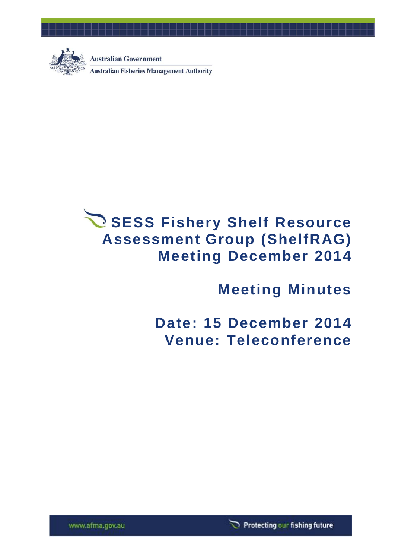

**Australian Government** 

**Australian Fisheries Management Authority** 

# **SESS Fishery Shelf Resource Assessment Group (ShelfRAG) Meeting December 2014**

# **Meeting Minutes**

**Date: 15 December 2014 Venue: Teleconference**

Protecting our fishing future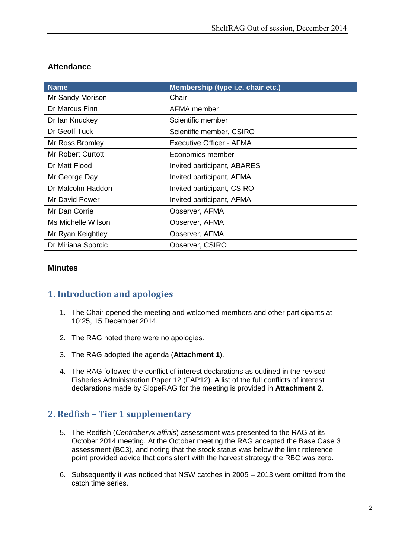#### **Attendance**

| <b>Name</b>        | Membership (type i.e. chair etc.) |
|--------------------|-----------------------------------|
| Mr Sandy Morison   | Chair                             |
| Dr Marcus Finn     | AFMA member                       |
| Dr Ian Knuckey     | Scientific member                 |
| Dr Geoff Tuck      | Scientific member, CSIRO          |
| Mr Ross Bromley    | Executive Officer - AFMA          |
| Mr Robert Curtotti | Economics member                  |
| Dr Matt Flood      | Invited participant, ABARES       |
| Mr George Day      | Invited participant, AFMA         |
| Dr Malcolm Haddon  | Invited participant, CSIRO        |
| Mr David Power     | Invited participant, AFMA         |
| Mr Dan Corrie      | Observer, AFMA                    |
| Ms Michelle Wilson | Observer, AFMA                    |
| Mr Ryan Keightley  | Observer, AFMA                    |
| Dr Miriana Sporcic | Observer, CSIRO                   |

#### **Minutes**

## **1. Introduction and apologies**

- 1. The Chair opened the meeting and welcomed members and other participants at 10:25, 15 December 2014.
- 2. The RAG noted there were no apologies.
- 3. The RAG adopted the agenda (**Attachment 1**).
- 4. The RAG followed the conflict of interest declarations as outlined in the revised Fisheries Administration Paper 12 (FAP12). A list of the full conflicts of interest declarations made by SlopeRAG for the meeting is provided in **Attachment 2**.

# **2. Redfish – Tier 1 supplementary**

- 5. The Redfish (*Centroberyx affinis*) assessment was presented to the RAG at its October 2014 meeting. At the October meeting the RAG accepted the Base Case 3 assessment (BC3), and noting that the stock status was below the limit reference point provided advice that consistent with the harvest strategy the RBC was zero.
- 6. Subsequently it was noticed that NSW catches in 2005 2013 were omitted from the catch time series.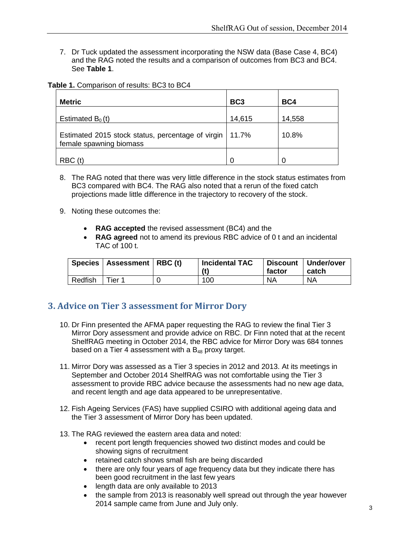7. Dr Tuck updated the assessment incorporating the NSW data (Base Case 4, BC4) and the RAG noted the results and a comparison of outcomes from BC3 and BC4. See **Table 1**.

| Table 1. Comparison of results: BC3 to BC4 |  |  |  |  |
|--------------------------------------------|--|--|--|--|
|--------------------------------------------|--|--|--|--|

| <b>Metric</b>                                                                | BC <sub>3</sub> | BC4    |
|------------------------------------------------------------------------------|-----------------|--------|
| Estimated $B_0(t)$                                                           | 14,615          | 14,558 |
| Estimated 2015 stock status, percentage of virgin<br>female spawning biomass | 11.7%           | 10.8%  |
| RBC(t)                                                                       | 0               |        |

- 8. The RAG noted that there was very little difference in the stock status estimates from BC3 compared with BC4. The RAG also noted that a rerun of the fixed catch projections made little difference in the trajectory to recovery of the stock.
- 9. Noting these outcomes the:
	- **RAG accepted** the revised assessment (BC4) and the
	- **RAG agreed** not to amend its previous RBC advice of 0 t and an incidental TAC of 100 t.

|         | Species   Assessment   RBC (t) | <b>Incidental TAC</b><br>(t) | <b>Discount</b><br>factor | Under/over<br>catch |
|---------|--------------------------------|------------------------------|---------------------------|---------------------|
| Redfish | $T$ ier 1                      | 100                          | <b>NA</b>                 | <b>NA</b>           |

## **3. Advice on Tier 3 assessment for Mirror Dory**

- 10. Dr Finn presented the AFMA paper requesting the RAG to review the final Tier 3 Mirror Dory assessment and provide advice on RBC. Dr Finn noted that at the recent ShelfRAG meeting in October 2014, the RBC advice for Mirror Dory was 684 tonnes based on a Tier 4 assessment with a  $B_{48}$  proxy target.
- 11. Mirror Dory was assessed as a Tier 3 species in 2012 and 2013. At its meetings in September and October 2014 ShelfRAG was not comfortable using the Tier 3 assessment to provide RBC advice because the assessments had no new age data, and recent length and age data appeared to be unrepresentative.
- 12. Fish Ageing Services (FAS) have supplied CSIRO with additional ageing data and the Tier 3 assessment of Mirror Dory has been updated.
- 13. The RAG reviewed the eastern area data and noted:
	- recent port length frequencies showed two distinct modes and could be showing signs of recruitment
	- retained catch shows small fish are being discarded
	- there are only four years of age frequency data but they indicate there has been good recruitment in the last few years
	- length data are only available to 2013
	- the sample from 2013 is reasonably well spread out through the year however 2014 sample came from June and July only.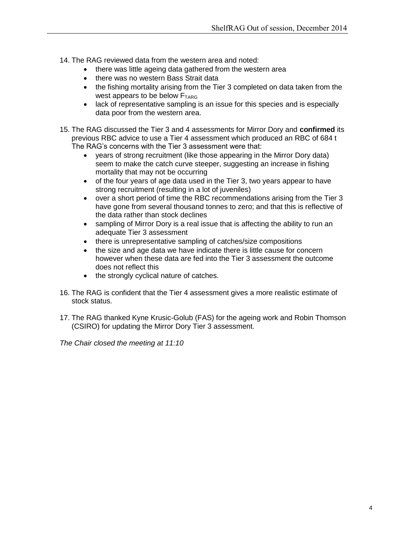- 14. The RAG reviewed data from the western area and noted:
	- there was little ageing data gathered from the western area
	- there was no western Bass Strait data
	- the fishing mortality arising from the Tier 3 completed on data taken from the west appears to be below  $F_{TARG}$
	- lack of representative sampling is an issue for this species and is especially data poor from the western area.
- 15. The RAG discussed the Tier 3 and 4 assessments for Mirror Dory and **confirmed** its previous RBC advice to use a Tier 4 assessment which produced an RBC of 684 t The RAG's concerns with the Tier 3 assessment were that:
	- years of strong recruitment (like those appearing in the Mirror Dory data) seem to make the catch curve steeper, suggesting an increase in fishing mortality that may not be occurring
	- of the four years of age data used in the Tier 3, two years appear to have strong recruitment (resulting in a lot of juveniles)
	- over a short period of time the RBC recommendations arising from the Tier 3 have gone from several thousand tonnes to zero; and that this is reflective of the data rather than stock declines
	- sampling of Mirror Dory is a real issue that is affecting the ability to run an adequate Tier 3 assessment
	- there is unrepresentative sampling of catches/size compositions
	- the size and age data we have indicate there is little cause for concern however when these data are fed into the Tier 3 assessment the outcome does not reflect this
	- the strongly cyclical nature of catches.
- 16. The RAG is confident that the Tier 4 assessment gives a more realistic estimate of stock status.
- 17. The RAG thanked Kyne Krusic-Golub (FAS) for the ageing work and Robin Thomson (CSIRO) for updating the Mirror Dory Tier 3 assessment.

*The Chair closed the meeting at 11:10*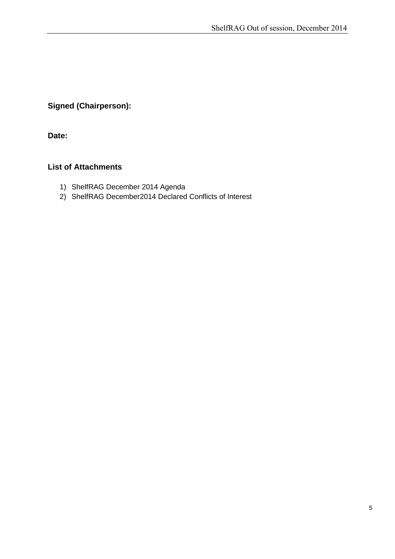### **Signed (Chairperson):**

**Date:**

#### **List of Attachments**

- 1) ShelfRAG December 2014 Agenda
- 2) ShelfRAG December2014 Declared Conflicts of Interest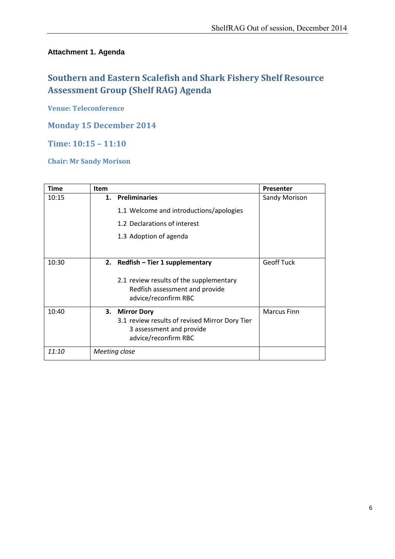#### **Attachment 1. Agenda**

# **Southern and Eastern Scalefish and Shark Fishery Shelf Resource Assessment Group (Shelf RAG) Agenda**

**Venue: Teleconference**

#### **Monday 15 December 2014**

#### **Time: 10:15 – 11:10**

#### **Chair: Mr Sandy Morison**

| Time  | <b>Item</b> |                                                                                                                      | Presenter          |
|-------|-------------|----------------------------------------------------------------------------------------------------------------------|--------------------|
| 10:15 | 1.          | <b>Preliminaries</b>                                                                                                 | Sandy Morison      |
|       |             | 1.1 Welcome and introductions/apologies                                                                              |                    |
|       |             | 1.2 Declarations of interest                                                                                         |                    |
|       |             | 1.3 Adoption of agenda                                                                                               |                    |
|       |             |                                                                                                                      |                    |
| 10:30 |             | 2. Redfish – Tier 1 supplementary                                                                                    | <b>Geoff Tuck</b>  |
|       |             | 2.1 review results of the supplementary<br>Redfish assessment and provide<br>advice/reconfirm RBC                    |                    |
| 10:40 |             | 3. Mirror Dory<br>3.1 review results of revised Mirror Dory Tier<br>3 assessment and provide<br>advice/reconfirm RBC | <b>Marcus Finn</b> |
| 11:10 |             | Meeting close                                                                                                        |                    |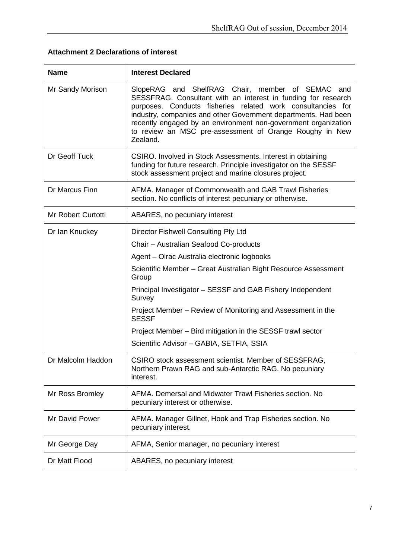| <b>Name</b>        | <b>Interest Declared</b>                                                                                                                                                                                                                                                                                                                                                                    |
|--------------------|---------------------------------------------------------------------------------------------------------------------------------------------------------------------------------------------------------------------------------------------------------------------------------------------------------------------------------------------------------------------------------------------|
| Mr Sandy Morison   | SlopeRAG and ShelfRAG Chair, member of SEMAC and<br>SESSFRAG. Consultant with an interest in funding for research<br>purposes. Conducts fisheries related work consultancies for<br>industry, companies and other Government departments. Had been<br>recently engaged by an environment non-government organization<br>to review an MSC pre-assessment of Orange Roughy in New<br>Zealand. |
| Dr Geoff Tuck      | CSIRO. Involved in Stock Assessments. Interest in obtaining<br>funding for future research. Principle investigator on the SESSF<br>stock assessment project and marine closures project.                                                                                                                                                                                                    |
| Dr Marcus Finn     | AFMA. Manager of Commonwealth and GAB Trawl Fisheries<br>section. No conflicts of interest pecuniary or otherwise.                                                                                                                                                                                                                                                                          |
| Mr Robert Curtotti | ABARES, no pecuniary interest                                                                                                                                                                                                                                                                                                                                                               |
| Dr Ian Knuckey     | Director Fishwell Consulting Pty Ltd                                                                                                                                                                                                                                                                                                                                                        |
|                    | Chair - Australian Seafood Co-products                                                                                                                                                                                                                                                                                                                                                      |
|                    | Agent – Olrac Australia electronic logbooks                                                                                                                                                                                                                                                                                                                                                 |
|                    | Scientific Member - Great Australian Bight Resource Assessment<br>Group                                                                                                                                                                                                                                                                                                                     |
|                    | Principal Investigator - SESSF and GAB Fishery Independent<br>Survey                                                                                                                                                                                                                                                                                                                        |
|                    | Project Member – Review of Monitoring and Assessment in the<br><b>SESSF</b>                                                                                                                                                                                                                                                                                                                 |
|                    | Project Member – Bird mitigation in the SESSF trawl sector                                                                                                                                                                                                                                                                                                                                  |
|                    | Scientific Advisor - GABIA, SETFIA, SSIA                                                                                                                                                                                                                                                                                                                                                    |
| Dr Malcolm Haddon  | CSIRO stock assessment scientist. Member of SESSFRAG,<br>Northern Prawn RAG and sub-Antarctic RAG. No pecuniary<br>interest.                                                                                                                                                                                                                                                                |
| Mr Ross Bromley    | AFMA. Demersal and Midwater Trawl Fisheries section. No<br>pecuniary interest or otherwise.                                                                                                                                                                                                                                                                                                 |
| Mr David Power     | AFMA. Manager Gillnet, Hook and Trap Fisheries section. No<br>pecuniary interest.                                                                                                                                                                                                                                                                                                           |
| Mr George Day      | AFMA, Senior manager, no pecuniary interest                                                                                                                                                                                                                                                                                                                                                 |
| Dr Matt Flood      | ABARES, no pecuniary interest                                                                                                                                                                                                                                                                                                                                                               |

# **Attachment 2 Declarations of interest**